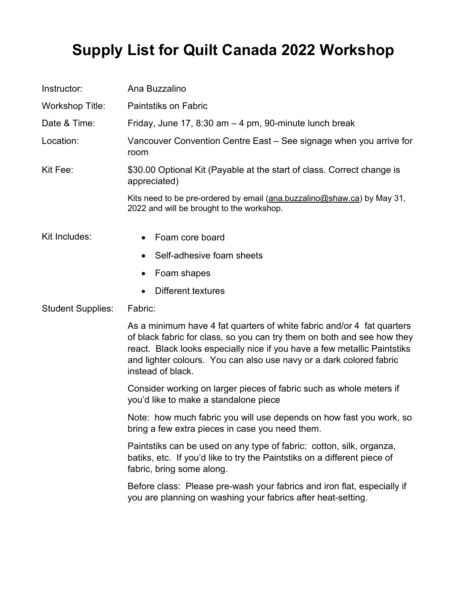## **Supply List for Quilt Canada 2022 Workshop**

| Instructor:              | Ana Buzzalino                                                                                                                                                                                                                                                                                                             |
|--------------------------|---------------------------------------------------------------------------------------------------------------------------------------------------------------------------------------------------------------------------------------------------------------------------------------------------------------------------|
| <b>Workshop Title:</b>   | <b>Paintstiks on Fabric</b>                                                                                                                                                                                                                                                                                               |
| Date & Time:             | Friday, June 17, 8:30 am $-$ 4 pm, 90-minute lunch break                                                                                                                                                                                                                                                                  |
| Location:                | Vancouver Convention Centre East – See signage when you arrive for<br>room                                                                                                                                                                                                                                                |
| Kit Fee:                 | \$30.00 Optional Kit (Payable at the start of class. Correct change is<br>appreciated)                                                                                                                                                                                                                                    |
|                          | Kits need to be pre-ordered by email (ana.buzzalino@shaw.ca) by May 31,<br>2022 and will be brought to the workshop.                                                                                                                                                                                                      |
| Kit Includes:            | Foam core board                                                                                                                                                                                                                                                                                                           |
|                          | Self-adhesive foam sheets                                                                                                                                                                                                                                                                                                 |
|                          | Foam shapes<br>٠                                                                                                                                                                                                                                                                                                          |
|                          | <b>Different textures</b>                                                                                                                                                                                                                                                                                                 |
| <b>Student Supplies:</b> | Fabric:                                                                                                                                                                                                                                                                                                                   |
|                          | As a minimum have 4 fat quarters of white fabric and/or 4 fat quarters<br>of black fabric for class, so you can try them on both and see how they<br>react. Black looks especially nice if you have a few metallic Paintstiks<br>and lighter colours. You can also use navy or a dark colored fabric<br>instead of black. |
|                          | Consider working on larger pieces of fabric such as whole meters if<br>you'd like to make a standalone piece                                                                                                                                                                                                              |
|                          | Note: how much fabric you will use depends on how fast you work, so<br>bring a few extra pieces in case you need them.                                                                                                                                                                                                    |
|                          | Paintstiks can be used on any type of fabric: cotton, silk, organza,<br>batiks, etc. If you'd like to try the Paintstiks on a different piece of<br>fabric, bring some along.                                                                                                                                             |
|                          | Before class: Please pre-wash your fabrics and iron flat, especially if<br>you are planning on washing your fabrics after heat-setting.                                                                                                                                                                                   |
|                          |                                                                                                                                                                                                                                                                                                                           |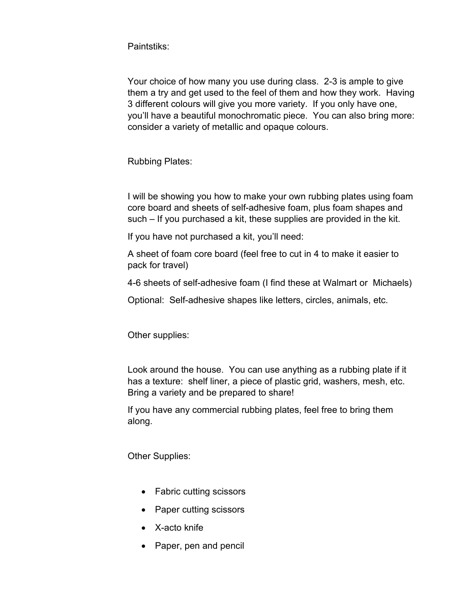Paintstiks:

Your choice of how many you use during class. 2-3 is ample to give them a try and get used to the feel of them and how they work. Having 3 different colours will give you more variety. If you only have one, you'll have a beautiful monochromatic piece. You can also bring more: consider a variety of metallic and opaque colours.

Rubbing Plates:

I will be showing you how to make your own rubbing plates using foam core board and sheets of self-adhesive foam, plus foam shapes and such – If you purchased a kit, these supplies are provided in the kit.

If you have not purchased a kit, you'll need:

A sheet of foam core board (feel free to cut in 4 to make it easier to pack for travel)

4-6 sheets of self-adhesive foam (I find these at Walmart or Michaels)

Optional: Self-adhesive shapes like letters, circles, animals, etc.

Other supplies:

Look around the house. You can use anything as a rubbing plate if it has a texture: shelf liner, a piece of plastic grid, washers, mesh, etc. Bring a variety and be prepared to share!

If you have any commercial rubbing plates, feel free to bring them along.

Other Supplies:

- Fabric cutting scissors
- Paper cutting scissors
- X-acto knife
- Paper, pen and pencil